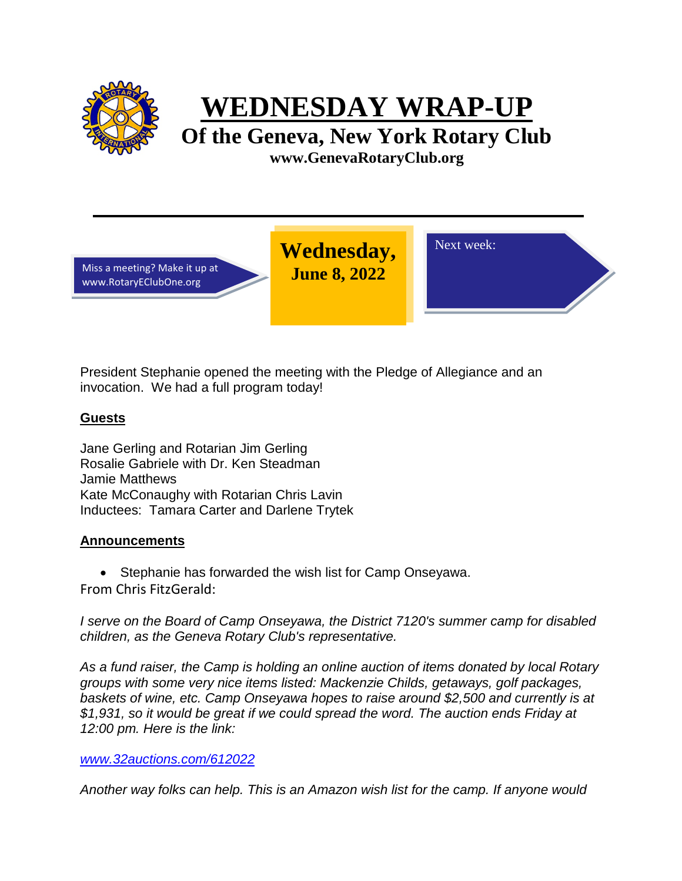

**WEDNESDAY WRAP-UP**

**Of the Geneva, New York Rotary Club www.GenevaRotaryClub.org**

Miss a meeting? Make it up at www.RotaryEClubOne.org

**Wednesday, June 8, 2022** 

Next week:

President Stephanie opened the meeting with the Pledge of Allegiance and an invocation. We had a full program today!

## **Guests**

Jane Gerling and Rotarian Jim Gerling Rosalie Gabriele with Dr. Ken Steadman Jamie Matthews Kate McConaughy with Rotarian Chris Lavin Inductees: Tamara Carter and Darlene Trytek

## **Announcements**

• Stephanie has forwarded the wish list for Camp Onseyawa. From Chris FitzGerald:

*I serve on the Board of Camp Onseyawa, the District 7120's summer camp for disabled children, as the Geneva Rotary Club's representative.*

*As a fund raiser, the Camp is holding an online auction of items donated by local Rotary groups with some very nice items listed: Mackenzie Childs, getaways, golf packages, baskets of wine, etc. Camp Onseyawa hopes to raise around \$2,500 and currently is at \$1,931, so it would be great if we could spread the word. The auction ends Friday at 12:00 pm. Here is the link:*

### *[www.32auctions.com/612022](http://www.32auctions.com/612022)*

*Another way folks can help. This is an Amazon wish list for the camp. If anyone would*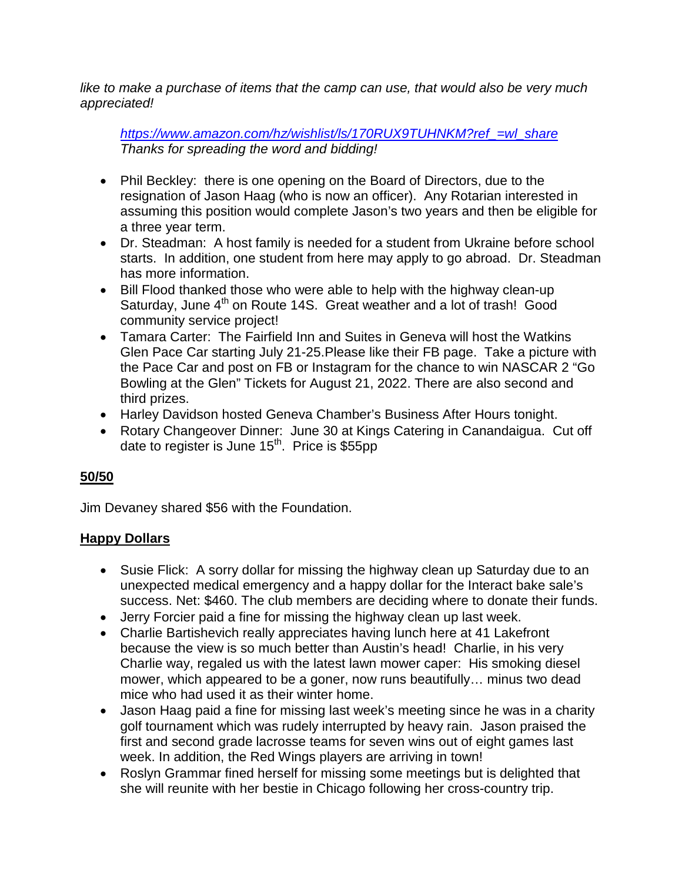*like to make a purchase of items that the camp can use, that would also be very much appreciated!* 

*[https://www.amazon.com/hz/wishlist/ls/170RUX9TUHNKM?ref\\_=wl\\_share](https://www.amazon.com/hz/wishlist/ls/170RUX9TUHNKM?ref_=wl_share) Thanks for spreading the word and bidding!*

- Phil Beckley: there is one opening on the Board of Directors, due to the resignation of Jason Haag (who is now an officer). Any Rotarian interested in assuming this position would complete Jason's two years and then be eligible for a three year term.
- Dr. Steadman: A host family is needed for a student from Ukraine before school starts. In addition, one student from here may apply to go abroad. Dr. Steadman has more information.
- Bill Flood thanked those who were able to help with the highway clean-up Saturday, June 4<sup>th</sup> on Route 14S. Great weather and a lot of trash! Good community service project!
- Tamara Carter: The Fairfield Inn and Suites in Geneva will host the Watkins Glen Pace Car starting July 21-25.Please like their FB page. Take a picture with the Pace Car and post on FB or Instagram for the chance to win NASCAR 2 "Go Bowling at the Glen" Tickets for August 21, 2022. There are also second and third prizes.
- Harley Davidson hosted Geneva Chamber's Business After Hours tonight.
- Rotary Changeover Dinner: June 30 at Kings Catering in Canandaigua. Cut off date to register is June 15<sup>th</sup>. Price is \$55pp

# **50/50**

Jim Devaney shared \$56 with the Foundation.

# **Happy Dollars**

- Susie Flick: A sorry dollar for missing the highway clean up Saturday due to an unexpected medical emergency and a happy dollar for the Interact bake sale's success. Net: \$460. The club members are deciding where to donate their funds.
- Jerry Forcier paid a fine for missing the highway clean up last week.
- Charlie Bartishevich really appreciates having lunch here at 41 Lakefront because the view is so much better than Austin's head! Charlie, in his very Charlie way, regaled us with the latest lawn mower caper: His smoking diesel mower, which appeared to be a goner, now runs beautifully… minus two dead mice who had used it as their winter home.
- Jason Haag paid a fine for missing last week's meeting since he was in a charity golf tournament which was rudely interrupted by heavy rain. Jason praised the first and second grade lacrosse teams for seven wins out of eight games last week. In addition, the Red Wings players are arriving in town!
- Roslyn Grammar fined herself for missing some meetings but is delighted that she will reunite with her bestie in Chicago following her cross-country trip.